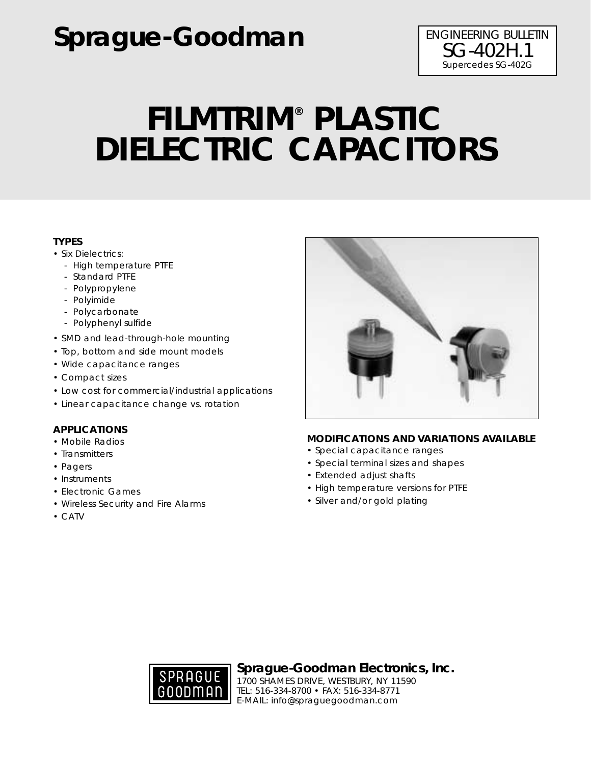# **Sprague-Goodman** ENGINEERING BULLETIN

# **FILMTRIM® PLASTIC DIELECTRIC CAPACITORS**

### **TYPES**

- Six Dielectrics:
	- High temperature PTFE
	- Standard PTFE
	- Polypropylene
	- Polyimide
	- Polycarbonate
	- Polyphenyl sulfide
- SMD and lead-through-hole mounting
- Top, bottom and side mount models
- Wide capacitance ranges
- Compact sizes
- Low cost for commercial/industrial applications
- Linear capacitance change vs. rotation

### **APPLICATIONS**

- Mobile Radios
- Transmitters
- Pagers
- Instruments
- Electronic Games
- Wireless Security and Fire Alarms
- CATV



### **MODIFICATIONS AND VARIATIONS AVAILABLE**

- Special capacitance ranges
- Special terminal sizes and shapes
- Extended adjust shafts
- High temperature versions for PTFE
- Silver and/or gold plating



**Sprague-Goodman Electronics, Inc.**

1700 SHAMES DRIVE, WESTBURY, NY 11590 TEL: 516-334-8700 • FAX: 516-334-8771 E-MAIL: info@spraguegoodman.com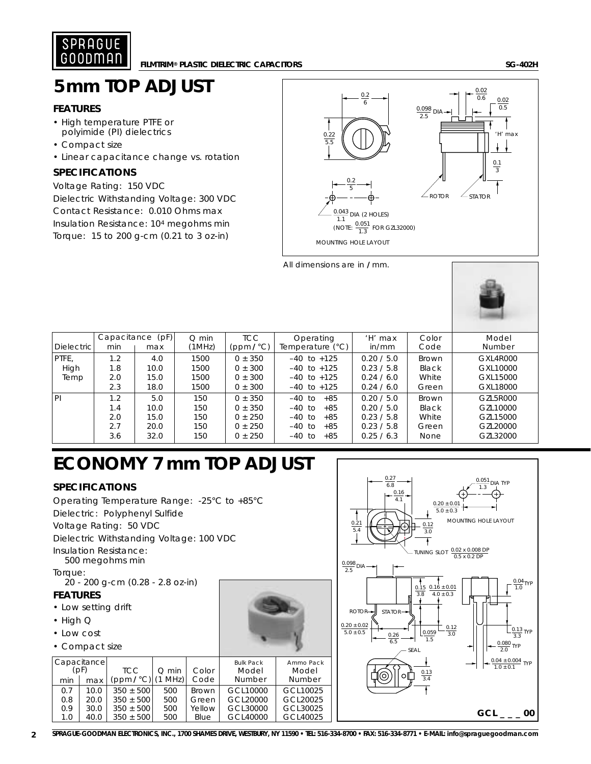

### **5mm TOP ADJUST**

### **FEATURES**

- High temperature PTFE or polyimide (PI) dielectrics
- Compact size
- Linear capacitance change vs. rotation

### **SPECIFICATIONS**

Voltage Rating: 150 VDC Dielectric Withstanding Voltage: 300 VDC Contact Resistance: 0.010 Ohms max Insulation Resistance: 104 megohms min Torque: 15 to 200 g-cm (0.21 to 3 oz-in)



All dimensions are in **/** mm.



| Dielectric            | Capacitance<br>min              | (pF)<br>max                         | $Q$ min<br>(1MHz)               | <b>TCC</b><br>(ppm/°C)                                              | Operating<br>Temperature $(^{\circ}C)$                                                        | 'H' max<br>in/mm                                                   | Color<br>Code                            | Model<br>Number                                          |
|-----------------------|---------------------------------|-------------------------------------|---------------------------------|---------------------------------------------------------------------|-----------------------------------------------------------------------------------------------|--------------------------------------------------------------------|------------------------------------------|----------------------------------------------------------|
| PTFE.<br>High<br>Temp | 1.2<br>1.8<br>2.0<br>2.3        | 4.0<br>10.0<br>15.0<br>18.0         | 1500<br>1500<br>1500<br>1500    | $0 + 350$<br>$0 \pm 300$<br>$0 \pm 300$<br>$0 \pm 300$              | $-40$ to $+125$<br>$-40$ to $+125$<br>$-40$ to $+125$<br>$-40$ to $+125$                      | 0.20 / 5.0<br>0.23 / 5.8<br>0.24 / 6.0<br>0.24 / 6.0               | Brown<br>Black<br>White<br>Green         | GXL4R000<br>GXL10000<br>GXL15000<br>GXL18000             |
| l PI                  | 1.2<br>1.4<br>2.0<br>2.7<br>3.6 | 5.0<br>10.0<br>15.0<br>20.0<br>32.0 | 150<br>150<br>150<br>150<br>150 | $0 + 350$<br>$0 + 350$<br>$0 \pm 250$<br>$0 \pm 250$<br>$0 \pm 250$ | $+85$<br>-40 to<br>$+85$<br>-40 to<br>$-40$ to<br>$+85$<br>$-40$ to<br>$+85$<br>-40 to<br>+85 | 0.20 / 5.0<br>0.20 / 5.0<br>0.23 / 5.8<br>0.23 / 5.8<br>0.25 / 6.3 | Brown<br>Black<br>White<br>Green<br>None | GZL5R000<br>GZL10000<br>GZL15000<br>GZL20000<br>GZL32000 |

## **ECONOMY 7 mm TOP ADJUST**

### **SPECIFICATIONS**

Operating Temperature Range: -25°C to +85°C Dielectric: Polyphenyl Sulfide Voltage Rating: 50 VDC Dielectric Withstanding Voltage: 100 VDC Insulation Resistance: 500 megohms min Torque: 20 - 200 g-cm (0.28 - 2.8 oz-in)

### **FEATURES**

- Low setting drift
- High Q
- Low cost
- Compact size

|                                   | <b>OUTTDACT SILC</b> |                                |            |                       |                                     |                              |
|-----------------------------------|----------------------|--------------------------------|------------|-----------------------|-------------------------------------|------------------------------|
| Capacitance<br>(pF)<br>min<br>max |                      | <b>TCC</b><br>(ppm/°C) (1 MHz) | $Q$ min    | Color<br>Code         | <b>Bulk Pack</b><br>Model<br>Number | Ammo Pack<br>Model<br>Number |
|                                   |                      |                                |            |                       | GCL10000                            | GCL10025                     |
| 0.7<br>0.8                        | 10.0<br>20.0         | $350 + 500$<br>$350 \pm 500$   | 500<br>500 | <b>Brown</b><br>Green | GCL20000                            | GCL20025                     |
| 0.9                               | 30.0                 | $350 + 500$                    | 500        | Yellow                | GCL30000                            | GCL30025                     |
| 1.0                               | 40.0                 | $350 \pm 500$                  | 500        | Blue                  | GCL40000                            | GCL40025                     |



**2 SPRAGUE-GOODMAN ELECTRONICS, INC., 1700 SHAMES DRIVE, WESTBURY, NY 11590 • TEL: 516-334-8700 • FAX: 516-334-8771 • E-MAIL: info@spraguegoodman.com**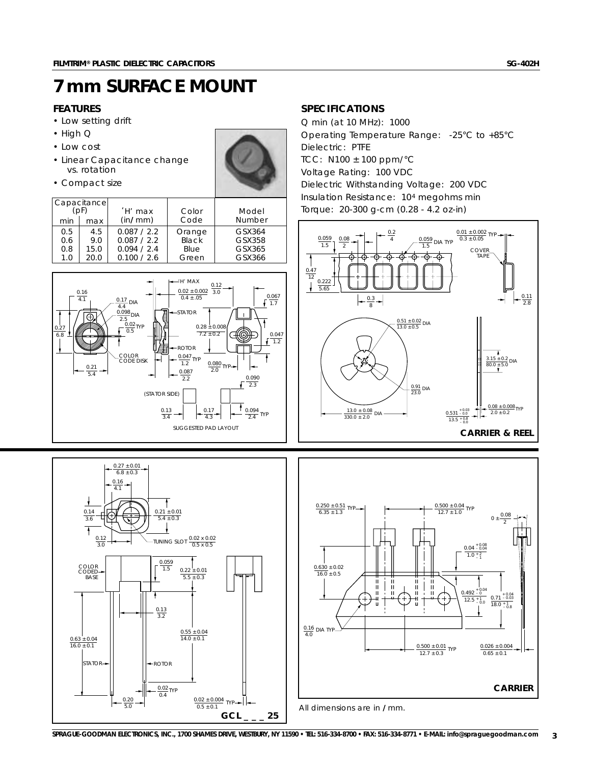### **7 mm SURFACE MOUNT**

### **FEATURES**

- Low setting drift
- High Q
- Low cost
- Linear Capacitance change vs. rotation

 $0.27 \pm 0.01$  $6.8 \pm 0.3$ 

0.16 4.1

0.14 3.6

COLOR CODED **BASE** 

 $\frac{0.63 \pm 0.04}{16.0 \pm 0.1}$ 

0.12  $3.0$ 

• Compact size



|     | Capacitance<br>(pF) | 'H' max     | Color  | Model  |
|-----|---------------------|-------------|--------|--------|
| min | max                 | (in/mm)     | Code   | Number |
| 0.5 | 4.5                 | 0.087 / 2.2 | Orange | GSX364 |
| 0.6 | 9.0                 | 0.087 / 2.2 | Black  | GSX358 |
| 0.8 | 15.0                | 0.094 / 2.4 | Blue   | GSX365 |
| 1.0 | 20.0                | 0.100 / 2.6 | Green  | GSX366 |



TUNING SLOT  $\frac{0.02 \times 0.02}{0.5 \times 0.5}$ 

 $0.22 \pm 0.01$  $5.5 \pm 0.3$ 

 $0.55 \pm 0.04$  $14.0 \pm 0.1$ 

 $\frac{0.02 \pm 0.004}{0.5 \pm 0.1}$  TYP

**GCL \_ \_ \_ 25**

 $0.21 \pm 0.01$  $5.4 + 0.3$ 

 $\uparrow$ 

0.059 1.5

 $\frac{0.13}{3.2}$ 

 $\frac{0.02}{0.4}$ TYP

 $\frac{0.20}{5.0}$ 

 $STATOR \rightarrow$   $\left| \begin{matrix} \bullet & \bullet & \bullet \\ \bullet & \bullet & \bullet & \bullet \end{matrix} \right|$ 

### **SPECIFICATIONS**

Q min (at 10 MHz): 1000 Operating Temperature Range: -25°C to +85°C Dielectric: PTFE TCC: N100 ± 100 ppm/°C Voltage Rating: 100 VDC Dielectric Withstanding Voltage: 200 VDC Insulation Resistance: 104 megohms min Torque: 20-300 g-cm (0.28 - 4.2 oz-in)



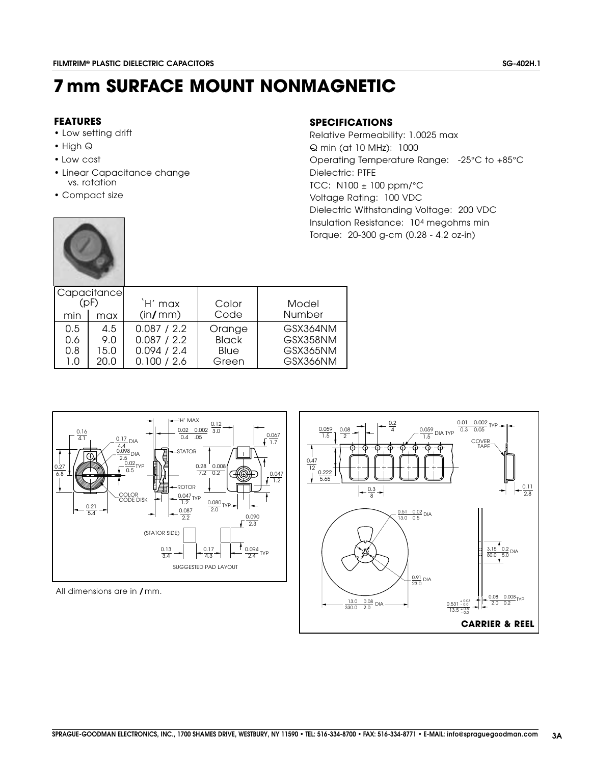### **7mm SURFACE MOUNT NONMAGNETIC**

### **FEATURES**

- Low setting drift
- High Q
- Low cost
- Linear Capacitance change vs. rotation
- Compact size

#### **SPECIFICATIONS**

Q min (at 10 MHz): 1000 Operating Temperature Range: -25°C to +85°C Relative Permeability: 1.0025 max TCC: N100 ± 100 ppm/°C Voltage Rating: 100 VDC Dielectric W ithstanding Voltage: 200 VDC Dielectric: PTFE Insulation Resistance: 104 megohms min Torque: 20-300 g-cm (0.28 - 4.2 oz-in)

|      | Capacitance |             |              |               |
|------|-------------|-------------|--------------|---------------|
| (DF) |             | `H' max     | Color        | Model         |
| min  | max         | (in/mm)     | Code         | <b>Number</b> |
| 0.5  | 4.5         | 0.087 / 2.2 | Orange       | GSX364NM      |
| 0.6  | 9.0         | 0.087 / 2.2 | <b>Black</b> | GSX358NM      |
| 0.8  | 15.0        | 0.094 / 2.4 | Blue         | GSX365NM      |
| 1.0  | 20.0        | 0.100 / 2.6 | Green        | GSX366NM      |



All dimensions are in / mm.

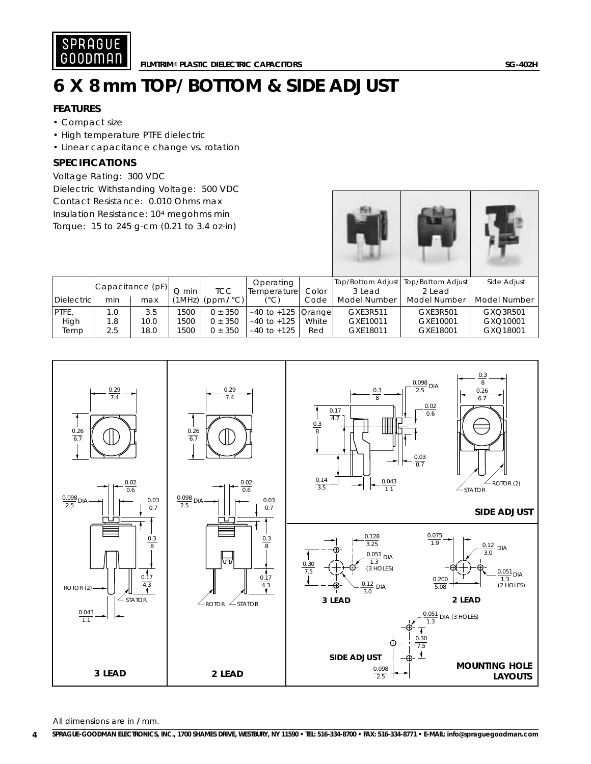

# **6 X 8mm TOP/BOTTOM & SIDE ADJUST**

### **FEATURES**

- Compact size
- High temperature PTFE dielectric
- Linear capacitance change vs. rotation

### **SPECIFICATIONS**

Voltage Rating: 300 VDC Dielectric Withstanding Voltage: 500 VDC Contact Resistance: 0.010 Ohms max Insulation Resistance: 104 megohms min Torque: 15 to 245 g-cm (0.21 to 3.4 oz-in)





Temp | 2.5 | 18.0 | 1500 | 0 ± 350 |-40 to +125 | Red | GXE18011 | GXE18001 | GXQ18001

All dimensions are in **/** mm.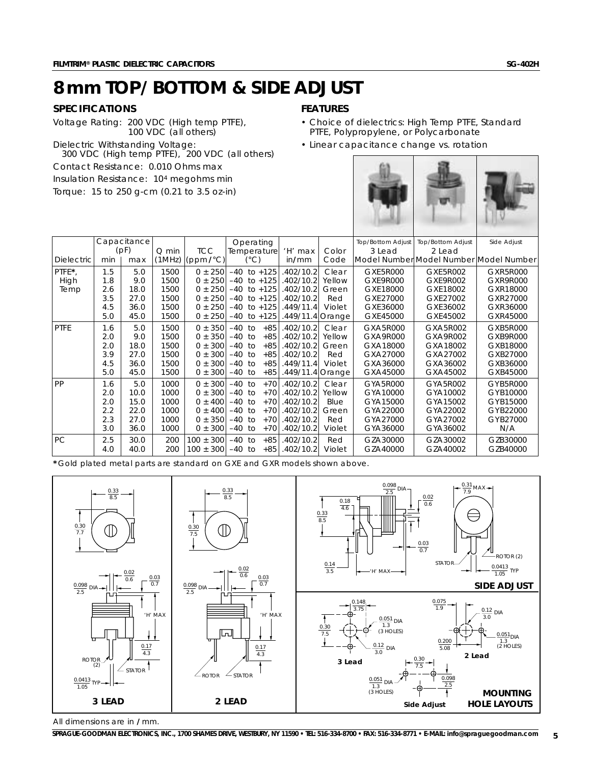### **8mm TOP/BOTTOM & SIDE ADJUST**

### **SPECIFICATIONS**

Voltage Rating: 200 VDC (High temp PTFE), 100 VDC (all others) Dielectric Withstanding Voltage: 300 VDC (High temp PTFE), 200 VDC (all others) Contact Resistance: 0.010 Ohms max Insulation Resistance: 104 megohms min Torque: 15 to 250 g-cm (0.21 to 3.5 oz-in)

### **FEATURES**

- Choice of dielectrics: High Temp PTFE, Standard PTFE, Polypropylene, or Polycarbonate
- Linear capacitance change vs. rotation

|                   |     |             |         | orque: 15 to 250 g-cm $(0.21$ to 3.5 oz-in) |          |                          |                  |        |                   |                                        |             |
|-------------------|-----|-------------|---------|---------------------------------------------|----------|--------------------------|------------------|--------|-------------------|----------------------------------------|-------------|
|                   |     | Capacitance |         |                                             |          | Operating                |                  |        | Top/Bottom Adjust | <b>Top/Bottom Adjust</b>               | Side Adjust |
|                   |     | (pF)        | $Q$ min | <b>TCC</b>                                  |          | <b>Temperature</b>       | 'H' max          | Color  | 3 Lead            | $2$ Lead                               |             |
| <b>Dielectric</b> | min | max         | (1MHz)  | $(ppm/\text{C})$                            |          | $(^{\circ}C)$            | in/mm            | Code   |                   | Model Number Model Number Model Number |             |
| PTFE*,            | 1.5 | 5.0         | 1500    | $0 \pm 250$                                 |          | $-40$ to $+125$          | 402/10.2         | Clear  | <b>GXE5R000</b>   | GXF5R002                               | GXR5R000    |
| High              | 1.8 | 9.0         | 1500    | $0 \pm 250$                                 | $-40$    | $to +125$                | .402/10.2        | Yellow | GXE9R000          | GXE9R002                               | GXR9R000    |
| Temp              | 2.6 | 18.0        | 1500    | $0 \pm 250$                                 | $-40$    | to $+125$                | .402/10.2        | Green  | GXE18000          | GXE18002                               | GXR18000    |
|                   | 3.5 | 27.0        | 1500    | $0 \pm 250$                                 | $-40$    | to $+125$                | .402/10.2        | Red    | GXE27000          | GXE27002                               | GXR27000    |
|                   | 4.5 | 36.0        | 1500    | $0 \pm 250$                                 |          | $-40$ to $+125$          | .449/11.4        | Violet | GXE36000          | GXE36002                               | GXR36000    |
|                   | 5.0 | 45.0        | 1500    | $0 \pm 250$                                 | $-40$    | to $+125$                | .449/11.4 Orange |        | GXE45000          | GXE45002                               | GXR45000    |
| PTFE              | 1.6 | 5.0         | 1500    | $0 \pm 350$                                 | $-40$ to | $+85$                    | .402/10.2        | Clear  | GXA5R000          | GXA5R002                               | GXB5R000    |
|                   | 2.0 | 9.0         | 1500    | $0 \pm 350$                                 | $-40$    | $+85$<br>10 <sup>2</sup> | .402/10.2        | Yellow | GXA9R000          | GXA9R002                               | GXB9R000    |
|                   | 2.0 | 18.0        | 1500    | 300<br>$0 \pm$                              | $-40$    | $+85$<br>to              | .402/10.2        | Green  | GXA18000          | GXA18002                               | GXB18000    |
|                   | 3.9 | 27.0        | 1500    | 300<br>$0 \pm$                              | $-40$    | $+85$<br>to              | .402/10.2        | Red    | GXA27000          | GXA27002                               | GXB27000    |
|                   | 4.5 | 36.0        | 1500    | $0 \pm 300$                                 | $-40$    | $+85$<br>to              | .449/11.4        | Violet | GXA36000          | GXA36002                               | GXB36000    |
|                   | 5.0 | 45.0        | 1500    | $0 \pm 300$                                 | $-40$    | $+85$<br>to              | .449/11.4 Orange |        | GXA45000          | GXA45002                               | GXB45000    |
| PP                | 1.6 | 5.0         | 1000    | $0 \pm 300$                                 | $-40$ to | $+70$                    | .402/10.2        | Clear  | GYA5R000          | GYA5R002                               | GYB5R000    |
|                   | 2.0 | 10.0        | 1000    | $0 \pm 300$                                 | $-40$    | $+70$<br>to              | .402/10.2        | Yellow | GYA10000          | GYA10002                               | GYB10000    |
|                   | 2.0 | 15.0        | 1000    | $0 \pm 400$                                 | $-40$    | $+70$<br>to              | .402/10.2        | Blue   | GYA15000          | GYA15002                               | GYB15000    |
|                   | 2.2 | 22.0        | 1000    | $0 \pm 400$                                 | $-40$    | $+70$<br>to              | .402/10.2        | Green  | GYA22000          | GYA22002                               | GYB22000    |
|                   | 2.3 | 27.0        | 1000    | 350<br>$0 +$                                | $-40$    | $+70$<br>10 <sup>2</sup> | .402/10.2        | Red    | GYA27000          | GYA27002                               | GYB27000    |
|                   | 3.0 | 36.0        | 1000    | $0 \pm 300$                                 | $-40$    | $+70$<br>to              | .402/10.2        | Violet | GYA36000          | GYA36002                               | N/A         |
| PС                | 2.5 | 30.0        | 200     | $100 \pm 300$                               | $-40$ to | $+85$                    | .402/10.2        | Red    | GZA30000          | GZA30002                               | GZB30000    |
|                   | 4.0 | 40.0        | 200     | $100 \pm 300$                               | $-40$ to | $+85$                    | .402/10.2        | Violet | GZA40000          | GZA40002                               | GZB40000    |

**\*** Gold plated metal parts are standard on GXE and GXR models shown above.



All dimensions are in **/** mm.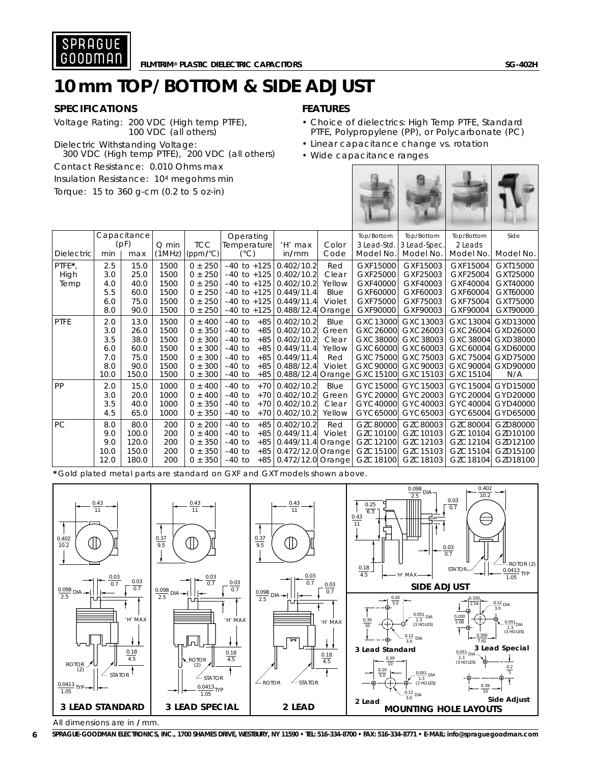

### **10mm TOP/BOTTOM & SIDE ADJUST**

### **SPECIFICATIONS**

Voltage Rating: 200 VDC (High temp PTFE), 100 VDC (all others)

Dielectric Withstanding Voltage: 300 VDC (High temp PTFE), 200 VDC (all others) Contact Resistance: 0.010 Ohms max Insulation Resistance: 104 megohms min  $T_{\text{OTMLO}}$ : 15 to 360 g cm  $(0.2$  to 5 ozin)

### **FEATURES**

- Choice of dielectrics: High Temp PTFE, Standard PTFE, Polypropylene (PP), or Polycarbonate (PC)
- Linear capacitance change vs. rotation
- Wide capacitance ranges

| $101$ que: $1510300$ q-Cm $0.2103$ Oz-Inf |      |             |         |             |                 |       |                           |        |             |              |            |           |
|-------------------------------------------|------|-------------|---------|-------------|-----------------|-------|---------------------------|--------|-------------|--------------|------------|-----------|
|                                           |      | Capacitance |         |             | Operating       |       |                           |        | Top/Bottom  | Top/Bottom   | Top/Bottom | Side      |
|                                           |      | (pF)        | $Q$ min | <b>TCC</b>  | Temperature     |       | 'H' max                   | Color  | 3 Lead-Std. | 3 Lead-Spec. | 2 Leads    |           |
| <b>Dielectric</b>                         | min  | max         | (1MHz)  | (ppm/°C)    | $(^{\circ}C)$   |       | in/mm                     | Code   | Model No.   | Model No.    | Model No.  | Model No. |
| PTFE*,                                    | 2.5  | 15.0        | 1500    | $0 \pm 250$ | $-40$ to $+125$ |       | 0.402/10.2                | Red    | GXF15000    | GXF15003     | GXF15004   | GXT15000  |
| High                                      | 3.0  | 25.0        | 1500    | $0 \pm 250$ | $-40$ to $+125$ |       | 0.402/10.2                | Clear  | GXF25000    | GXF25003     | GXF25004   | GXT25000  |
| Temp                                      | 4.0  | 40.0        | 1500    | $0 \pm 250$ | $-40$ to $+125$ |       | 0.402/10.2                | Yellow | GXF40000    | GXF40003     | GXF40004   | GXT40000  |
|                                           | 5.5  | 60.0        | 1500    | $0 \pm 250$ | $-40$ to $+125$ |       | 0.449/11.4                | Blue   | GXF60000    | GXF60003     | GXF60004   | GXT60000  |
|                                           | 6.0  | 75.0        | 1500    | $0 \pm 250$ | $-40$ to $+125$ |       | 0.449/11.4                | Violet | GXF75000    | GXF75003     | GXF75004   | GXT75000  |
|                                           | 8.0  | 90.0        | 1500    | $0 \pm 250$ | $-40$ to $+125$ |       | 0.488/12.4 Orange         |        | GXF90000    | GXF90003     | GXF90004   | GXT90000  |
| <b>PTFE</b>                               | 2.0  | 13.0        | 1500    | $0 \pm 400$ | $-40$ to        | $+85$ | 0.402/10.2                | Blue   | GXC13000    | GXC13003     | GXC13004   | GXD13000  |
|                                           | 3.0  | 26.0        | 1500    | $0 \pm 350$ | $-40$ to        | $+85$ | 0.402/10.2                | Green  | GXC26000    | GXC26003     | GXC26004   | GXD26000  |
|                                           | 3.5  | 38.0        | 1500    | $0 \pm 300$ | $-40$ to        | $+85$ | 0.402/10.2                | Clear  | GXC38000    | GXC38003     | GXC38004   | GXD38000  |
|                                           | 6.0  | 60.0        | 1500    | $0 \pm 300$ | $-40$ to        |       | $+85$   0.449/11.4        | Yellow | GXC60000    | GXC60003     | GXC60004   | GXD60000  |
|                                           | 7.0  | 75.0        | 1500    | $0 \pm 300$ | $-40$ to        | $+85$ | 0.449/11.4                | Red    | GXC75000    | GXC75003     | GXC75004   | GXD75000  |
|                                           | 8.0  | 90.0        | 1500    | $0 \pm 300$ | $-40$ to        | $+85$ | 0.488/12.4                | Violet | GXC90000    | GXC90003     | GXC90004   | GXD90000  |
|                                           | 10.0 | 150.0       | 1500    | $0 \pm 300$ | $-40$ to        | $+85$ | 0.488/12.4 Orange         |        | GXC15100    | GXC15103     | GXC15104   | N/A       |
| PP                                        | 2.0  | 15.0        | 1000    | $0 \pm 400$ | $-40$ to        | $+70$ | 0.402/10.2                | Blue   | GYC15000    | GYC15003     | GYC15004   | GYD15000  |
|                                           | 3.0  | 20.0        | 1000    | $0 \pm 400$ | $-40$ to        | $+70$ | 0.402/10.2                | Green  | GYC20000    | GYC20003     | GYC20004   | GYD20000  |
|                                           | 3.5  | 40.0        | 1000    | $0 \pm 350$ | $-40$ to        | $+70$ | 0.402/10.2                | Clear  | GYC40000    | GYC40003     | GYC40004   | GYD40000  |
|                                           | 4.5  | 65.0        | 1000    | $0 \pm 350$ | $-40$ to        |       | $+70$ 0.402/10.2          | Yellow | GYC65000    | GYC65003     | GYC65004   | GYD65000  |
| PC                                        | 8.0  | 80.0        | 200     | $0 \pm 200$ | $-40$ to        | $+85$ | 0.402/10.2                | Red    | GZC80000    | GZC80003     | GZC80004   | GZD80000  |
|                                           | 9.0  | 100.0       | 200     | $0 \pm 400$ | $-40$ to        | $+85$ | 0.449/11.4                | Violet | GZC10100    | GZC10103     | GZC10104   | GZD10100  |
|                                           | 9.0  | 120.0       | 200     | $0 \pm 350$ | $-40$ to        | $+85$ | 0.449/11.4 Orange         |        | GZC12100    | GZC12103     | GZC12104   | GZD12100  |
|                                           | 10.0 | 150.0       | 200     | $0 \pm 350$ | $-40$ to        |       | +85 0.472/12.0 Orange     |        | GZC15100    | GZC15103     | GZC15104   | GZD15100  |
|                                           | 12.0 | 180.0       | 200     | $0 \pm 350$ | $-40$ to        |       | +85   0.472/12.0   Orange |        | GZC18100    | GZC18103     | GZC18104   | GZD18100  |

**\*** Gold plated metal parts are standard on GXF and GXT models shown above.



**6 SPRAGUE-GOODMAN ELECTRONICS, INC., 1700 SHAMES DRIVE, WESTBURY, NY 11590 • TEL: 516-334-8700 • FAX: 516-334-8771 • E-MAIL: info@spraguegoodman.com**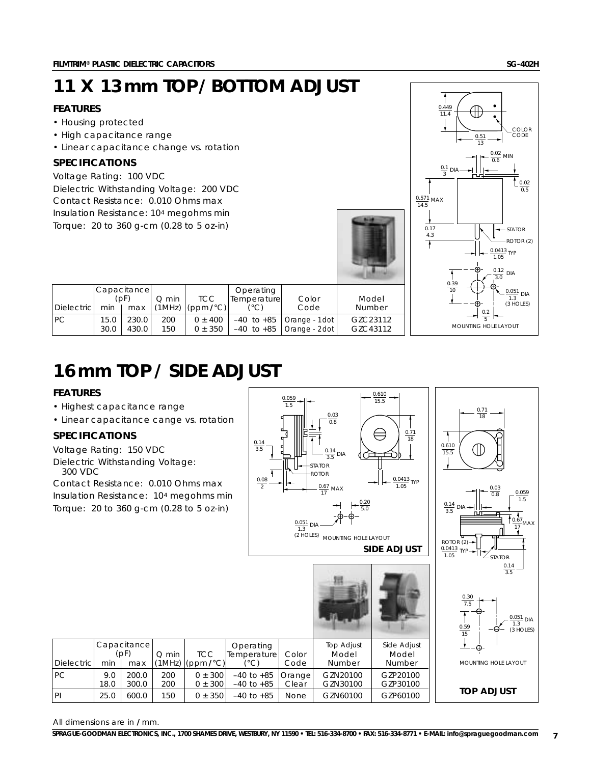# **11 X 13 mm TOP/BOTTOM ADJUST**

### **FEATURES**

- Housing protected
- High capacitance range
- Linear capacitance change vs. rotation

### **SPECIFICATIONS**

Voltage Rating: 100 VDC Dielectric Withstanding Voltage: 200 VDC Contact Resistance: 0.010 Ohms max Insulation Resistance: 104 megohms min Torque: 20 to 360 g-cm (0.28 to 5 oz-in)

|                     | 11.4<br>COLOR<br>CODE<br>0.51<br>$\overline{13}$                                                   |
|---------------------|----------------------------------------------------------------------------------------------------|
|                     | $\frac{0.02}{0.6}$ MIN<br>$\frac{0.1}{3}$ DIA<br>$\frac{0.02}{0.5}$<br>$\frac{0.571}{14.5}$ MAX    |
|                     | $\frac{0.17}{4.3}$<br><b>STATOR</b><br>ROTOR (2)<br>$\frac{0.0413}{1.05}$ TYP                      |
| Model<br>Number     | F<br>$\frac{0.12}{3.0}$<br><b>DIA</b><br>$\frac{0.39}{10}$<br>$\frac{0.051}{1.3}$ DIA<br>(3 HOLES) |
| ZC23112<br>iZC43112 | $\frac{0.2}{5}$<br>MOUNTING HOLE LAYOUT                                                            |

 $\frac{1}{0.449}$ 

 $\sqrt{a}$ .

|                    |      | Capacitancel |         |                                     | Operating   |                               |                                   |
|--------------------|------|--------------|---------|-------------------------------------|-------------|-------------------------------|-----------------------------------|
|                    | (DF) |              | $O$ min | <b>TCC</b>                          | Temperature | Color                         | Model                             |
| <b>Dielectricl</b> | min  | max          |         | $(MHz)$ (ppm $\ell$ <sup>o</sup> C) | (°C)        | Code                          | Number                            |
| IPC.               | 15.0 | 230.0        | 200     | $0 \pm 400$                         |             | $-40$ to $+85$ Orange - 1dot  | G <sub>7</sub> C <sub>23112</sub> |
|                    | 30.0 | 430.0        | 150     | $0 \pm 350$                         |             | $-40$ to $+85$ Orange - 2 dot | G7C43112                          |

## **16mm TOP / SIDE ADJUST**

### **FEATURES**

- Highest capacitance range
- Linear capacitance cange vs. rotation

### **SPECIFICATIONS**

Voltage Rating: 150 VDC Dielectric Withstanding Voltage: 300 VDC

Contact Resistance: 0.010 Ohms max Insulation Resistance: 104 megohms min Torque: 20 to 360 g-cm (0.28 to 5 oz-in)



**SIDE ADJUST**

18

 $\frac{0.610}{15.5}$ 





0.71 18

(II)

All dimensions are in **/** mm.

Dielectric min | max  $|(1MHz)(ppm/C)|$  (°C) | Code | Number | Number PC  $\begin{array}{|c|c|c|c|c|c|c|c|c|c|c|} \hline 9.0 & 200.0 & 200 & 0 & \pm 300 & -40 & \text{to} & +85 & \text{Clear} & \text{GZN20100} & \text{GZP20100} \\ \hline 18.0 & 300.0 & 200 & 0 & \pm 300 & -40 & \text{to} & +85 & \text{Clear} & \text{GZN30100} & \text{GZP30100} \\\hline \end{array}$  $-40$  to  $+85$ 

PI | 25.0 | 600.0 | 150 | 0 ± 350 | -40 to +85 | None | GZN60100 | GZP60100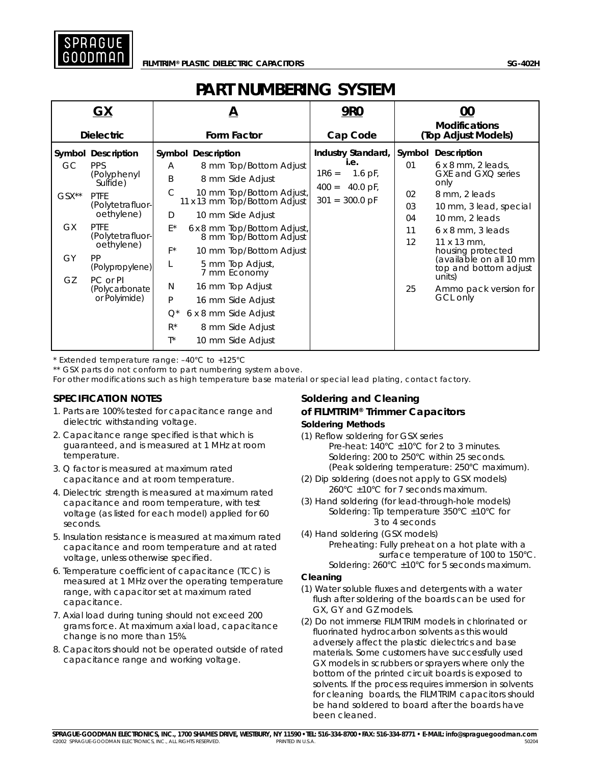

### **PART NUMBERING SYSTEM**

|                                      | GX                                                                                                                                                                                                                                                  |                                                    | А                                                                                                                                                                                                                                                                                                                                                 | <b>9R0</b>                                                                                           | 00<br><b>Modifications</b>                       |                                                                                                                                                                                                                                                                                                               |  |  |
|--------------------------------------|-----------------------------------------------------------------------------------------------------------------------------------------------------------------------------------------------------------------------------------------------------|----------------------------------------------------|---------------------------------------------------------------------------------------------------------------------------------------------------------------------------------------------------------------------------------------------------------------------------------------------------------------------------------------------------|------------------------------------------------------------------------------------------------------|--------------------------------------------------|---------------------------------------------------------------------------------------------------------------------------------------------------------------------------------------------------------------------------------------------------------------------------------------------------------------|--|--|
|                                      | <b>Dielectric</b>                                                                                                                                                                                                                                   |                                                    | Form Factor                                                                                                                                                                                                                                                                                                                                       | Cap Code                                                                                             |                                                  | (Top Adjust Models)                                                                                                                                                                                                                                                                                           |  |  |
| GC.<br>$GSX^{**}$<br>GX.<br>GY<br>GZ | <b>Symbol Description</b><br><b>PPS</b><br>(Polyphenyl<br>Sulfide)<br><b>PTFE</b><br>(Polytetrafluor-<br>oethylene)<br><b>PTFE</b><br>(Polytetrafluor-<br>oethylene)<br><b>PP</b><br>(Polypropylene)<br>PC or PI<br>(Polycarbonate<br>or Polyimide) | A<br>B<br>C<br>D<br>E*<br>$F^*$<br>N<br>P<br>$Q^*$ | <b>Symbol Description</b><br>8 mm Top/Bottom Adjust<br>8 mm Side Adjust<br>10 mm Top/Bottom Adjust,<br>11 x 13 mm Top/Bottom Adjust<br>10 mm Side Adjust<br>6 x 8 mm Top/Bottom Adjust,<br>8 mm Top/Bottom Adjust<br>10 mm Top/Bottom Adjust<br>5 mm Top Adjust,<br>7 mm Economy<br>16 mm Top Adjust<br>16 mm Side Adjust<br>6 x 8 mm Side Adjust | Industry Standard,<br>i.e.<br>$1R6 =$<br>1.6 pF,<br>$400 =$<br>40.0 pF,<br>$301 = 300.0 \,\text{pF}$ | Symbol<br>01<br>02<br>03<br>04<br>11<br>12<br>25 | Description<br>$6 \times 8$ mm, 2 leads,<br>GXE and GXQ series<br>only<br>8 mm, 2 leads<br>10 mm, 3 lead, special<br>10 mm, 2 leads<br>$6 \times 8$ mm, 3 leads<br>$11 \times 13$ mm.<br>housing protected<br>(available on all 10 mm<br>top and bottom adjust<br>units)<br>Ammo pack version for<br>GCL only |  |  |
|                                      |                                                                                                                                                                                                                                                     | $R^*$<br>$T^*$                                     | 8 mm Side Adjust<br>10 mm Side Adjust                                                                                                                                                                                                                                                                                                             |                                                                                                      |                                                  |                                                                                                                                                                                                                                                                                                               |  |  |

\* Extended temperature range: –40°C to +125°C

\*\* GSX parts do not conform to part numbering system above.

For other modifications such as high temperature base material or special lead plating, contact factory.

### **SPECIFICATION NOTES**

- 1. Parts are 100% tested for capacitance range and dielectric withstanding voltage.
- 2. Capacitance range specified is that which is guaranteed, and is measured at 1 MHz at room temperature.
- 3. Q factor is measured at maximum rated capacitance and at room temperature.
- 4. Dielectric strength is measured at maximum rated capacitance and room temperature, with test voltage (as listed for each model) applied for 60 seconds.
- 5. Insulation resistance is measured at maximum rated capacitance and room temperature and at rated voltage, unless otherwise specified.
- 6. Temperature coefficient of capacitance (TCC) is measured at 1 MHz over the operating temperature range, with capacitor set at maximum rated capacitance.
- 7. Axial load during tuning should not exceed 200 grams force. At maximum axial load, capacitance change is no more than 15%.
- 8. Capacitors should not be operated outside of rated capacitance range and working voltage.

#### **Soldering and Cleaning of FILMTRIM® Trimmer Capacitors Soldering Methods**

- (1) Reflow soldering for GSX series Pre-heat:  $140^{\circ}$ C  $\pm$ 10°C for 2 to 3 minutes. Soldering: 200 to 250°C within 25 seconds. (Peak soldering temperature: 250°C maximum).
- (2) Dip soldering (does not apply to GSX models) 260°C ±10°C for 7 seconds maximum.
- (3) Hand soldering (for lead-through-hole models) Soldering: Tip temperature  $350^{\circ}$ C  $\pm$ 10 $^{\circ}$ C for 3 to 4 seconds
- (4) Hand soldering (GSX models)
	- Preheating: Fully preheat on a hot plate with a surface temperature of 100 to 150°C. Soldering: 260°C ±10°C for 5 seconds maximum.

#### **Cleaning**

- (1) Water soluble fluxes and detergents with a water flush after soldering of the boards can be used for GX, GY and GZ models.
- (2) Do not immerse FILMTRIM models in chlorinated or fluorinated hydrocarbon solvents as this would adversely affect the plastic dielectrics and base materials. Some customers have successfully used GX models in scrubbers or sprayers where only the bottom of the printed circuit boards is exposed to solvents. If the process requires immersion in solvents for cleaning boards, the FILMTRIM capacitors should be hand soldered to board after the boards have been cleaned.